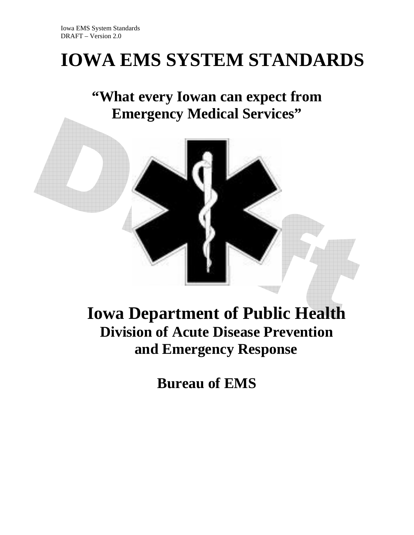# **IOWA EMS SYSTEM STANDARDS**

**"What every Iowan can expect from Emergency Medical Services"** 



# **Iowa Department of Public Health Division of Acute Disease Prevention and Emergency Response**

**Bureau of EMS**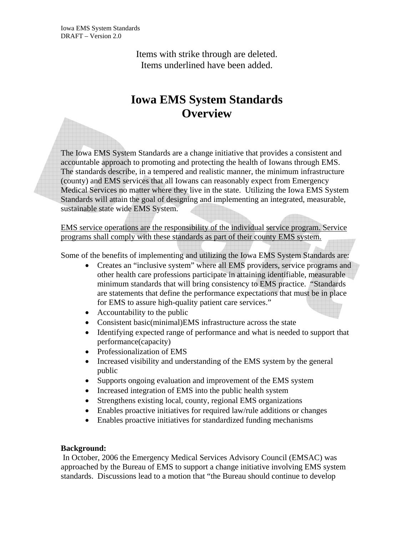> Items with strike through are deleted. Items underlined have been added.

# **Iowa EMS System Standards Overview**

The Iowa EMS System Standards are a change initiative that provides a consistent and accountable approach to promoting and protecting the health of Iowans through EMS. The standards describe, in a tempered and realistic manner, the minimum infrastructure (county) and EMS services that all Iowans can reasonably expect from Emergency Medical Services no matter where they live in the state. Utilizing the Iowa EMS System Standards will attain the goal of designing and implementing an integrated, measurable, sustainable state wide EMS System.

EMS service operations are the responsibility of the individual service program. Service programs shall comply with these standards as part of their county EMS system.

Some of the benefits of implementing and utilizing the Iowa EMS System Standards are:

- Creates an "inclusive system" where all EMS providers, service programs and other health care professions participate in attaining identifiable, measurable minimum standards that will bring consistency to EMS practice. "Standards are statements that define the performance expectations that must be in place for EMS to assure high-quality patient care services."
- Accountability to the public
- Consistent basic(minimal)EMS infrastructure across the state
- Identifying expected range of performance and what is needed to support that performance(capacity)
- Professionalization of EMS
- Increased visibility and understanding of the EMS system by the general public
- Supports ongoing evaluation and improvement of the EMS system
- Increased integration of EMS into the public health system
- Strengthens existing local, county, regional EMS organizations
- Enables proactive initiatives for required law/rule additions or changes
- Enables proactive initiatives for standardized funding mechanisms

#### **Background:**

In October, 2006 the Emergency Medical Services Advisory Council (EMSAC) was approached by the Bureau of EMS to support a change initiative involving EMS system standards. Discussions lead to a motion that "the Bureau should continue to develop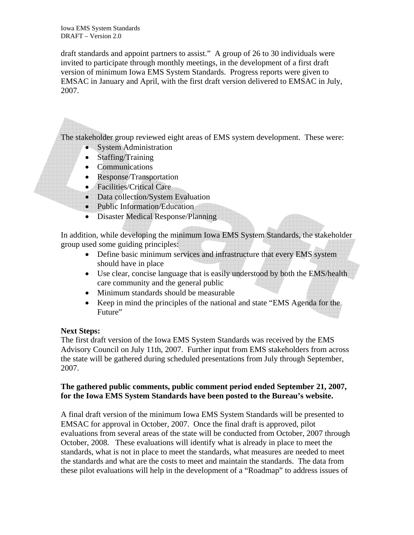draft standards and appoint partners to assist." A group of 26 to 30 individuals were invited to participate through monthly meetings, in the development of a first draft version of minimum Iowa EMS System Standards. Progress reports were given to EMSAC in January and April, with the first draft version delivered to EMSAC in July, 2007.

The stakeholder group reviewed eight areas of EMS system development. These were:

- System Administration
- Staffing/Training
- Communications
- Response/Transportation
- Facilities/Critical Care
- Data collection/System Evaluation
- Public Information/Education
- Disaster Medical Response/Planning

In addition, while developing the minimum Iowa EMS System Standards, the stakeholder group used some guiding principles:

- Define basic minimum services and infrastructure that every EMS system should have in place
- Use clear, concise language that is easily understood by both the EMS/health care community and the general public
- Minimum standards should be measurable
- Keep in mind the principles of the national and state "EMS Agenda for the Future"

#### **Next Steps:**

The first draft version of the Iowa EMS System Standards was received by the EMS Advisory Council on July 11th, 2007. Further input from EMS stakeholders from across the state will be gathered during scheduled presentations from July through September, 2007.

#### **The gathered public comments, public comment period ended September 21, 2007, for the Iowa EMS System Standards have been posted to the Bureau's website.**

A final draft version of the minimum Iowa EMS System Standards will be presented to EMSAC for approval in October, 2007. Once the final draft is approved, pilot evaluations from several areas of the state will be conducted from October, 2007 through October, 2008. These evaluations will identify what is already in place to meet the standards, what is not in place to meet the standards, what measures are needed to meet the standards and what are the costs to meet and maintain the standards. The data from these pilot evaluations will help in the development of a "Roadmap" to address issues of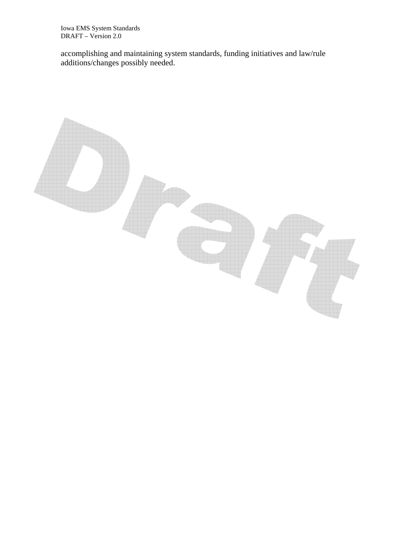accomplishing and maintaining system standards, funding initiatives and law/rule additions/changes possibly needed.

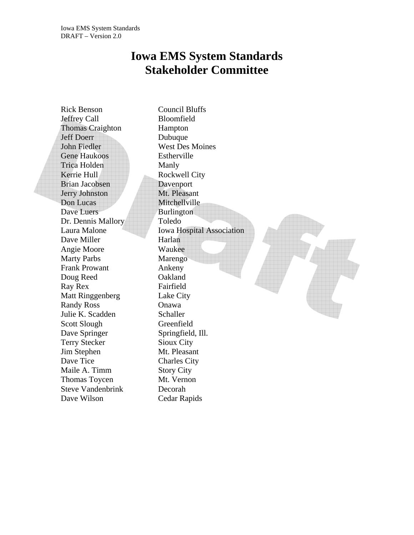# **Iowa EMS System Standards Stakeholder Committee**

Rick Benson Council Bluffs Jeffrey Call Bloomfield Thomas Craighton Hampton Jeff Doerr Dubuque John Fiedler West Des Moines Gene Haukoos Estherville Trica Holden Manly Kerrie Hull Rockwell City Brian Jacobsen Davenport Jerry Johnston Mt. Pleasant Don Lucas Mitchellville Dave Luers Burlington Dr. Dennis Mallory Toledo Dave Miller Harlan Angie Moore Waukee Marty Parbs Marengo Frank Prowant Ankeny Doug Reed **Oakland** Ray Rex Fairfield Matt Ringgenberg Lake City Randy Ross **Onawa** Julie K. Scadden Schaller Scott Slough Greenfield Dave Springer Springfield, Ill. Terry Stecker Sioux City Jim Stephen Mt. Pleasant Dave Tice Charles City Maile A. Timm Story City Thomas Toycen Mt. Vernon Steve Vandenbrink Decorah Dave Wilson Cedar Rapids

Laura Malone Iowa Hospital Association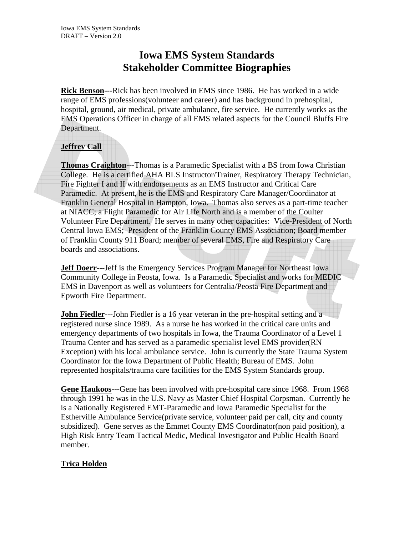# **Iowa EMS System Standards Stakeholder Committee Biographies**

**Rick Benson**---Rick has been involved in EMS since 1986. He has worked in a wide range of EMS professions(volunteer and career) and has background in prehospital, hospital, ground, air medical, private ambulance, fire service. He currently works as the EMS Operations Officer in charge of all EMS related aspects for the Council Bluffs Fire Department.

#### **Jeffrey Call**

**Thomas Craighton**---Thomas is a Paramedic Specialist with a BS from Iowa Christian College. He is a certified AHA BLS Instructor/Trainer, Respiratory Therapy Technician, Fire Fighter I and II with endorsements as an EMS Instructor and Critical Care Paramedic. At present, he is the EMS and Respiratory Care Manager/Coordinator at Franklin General Hospital in Hampton, Iowa. Thomas also serves as a part-time teacher at NIACC; a Flight Paramedic for Air Life North and is a member of the Coulter Volunteer Fire Department. He serves in many other capacities: Vice-President of North Central Iowa EMS; President of the Franklin County EMS Association; Board member of Franklin County 911 Board; member of several EMS, Fire and Respiratory Care boards and associations.

**Jeff Doerr**---Jeff is the Emergency Services Program Manager for Northeast Iowa Community College in Peosta, Iowa. Is a Paramedic Specialist and works for MEDIC EMS in Davenport as well as volunteers for Centralia/Peosta Fire Department and Epworth Fire Department.

**John Fiedler**---John Fiedler is a 16 year veteran in the pre-hospital setting and a registered nurse since 1989. As a nurse he has worked in the critical care units and emergency departments of two hospitals in Iowa, the Trauma Coordinator of a Level 1 Trauma Center and has served as a paramedic specialist level EMS provider(RN Exception) with his local ambulance service. John is currently the State Trauma System Coordinator for the Iowa Department of Public Health; Bureau of EMS. John represented hospitals/trauma care facilities for the EMS System Standards group.

**Gene Haukoos**---Gene has been involved with pre-hospital care since 1968. From 1968 through 1991 he was in the U.S. Navy as Master Chief Hospital Corpsman. Currently he is a Nationally Registered EMT-Paramedic and Iowa Paramedic Specialist for the Estherville Ambulance Service(private service, volunteer paid per call, city and county subsidized). Gene serves as the Emmet County EMS Coordinator(non paid position), a High Risk Entry Team Tactical Medic, Medical Investigator and Public Health Board member.

#### **Trica Holden**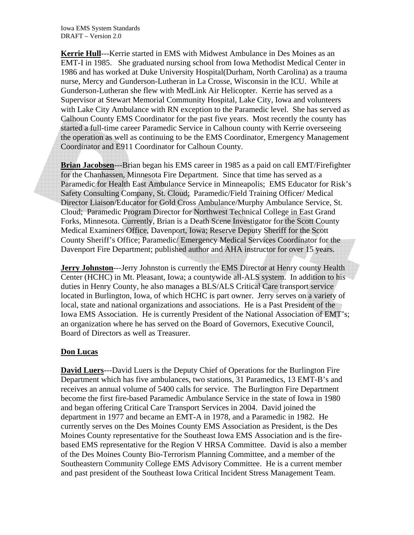**Kerrie Hull**---Kerrie started in EMS with Midwest Ambulance in Des Moines as an EMT-I in 1985. She graduated nursing school from Iowa Methodist Medical Center in 1986 and has worked at Duke University Hospital(Durham, North Carolina) as a trauma nurse, Mercy and Gunderson-Lutheran in La Crosse, Wisconsin in the ICU. While at Gunderson-Lutheran she flew with MedLink Air Helicopter. Kerrie has served as a Supervisor at Stewart Memorial Community Hospital, Lake City, Iowa and volunteers with Lake City Ambulance with RN exception to the Paramedic level. She has served as Calhoun County EMS Coordinator for the past five years. Most recently the county has started a full-time career Paramedic Service in Calhoun county with Kerrie overseeing the operation as well as continuing to be the EMS Coordinator, Emergency Management Coordinator and E911 Coordinator for Calhoun County.

**Brian Jacobsen**---Brian began his EMS career in 1985 as a paid on call EMT/Firefighter for the Chanhassen, Minnesota Fire Department. Since that time has served as a Paramedic for Health East Ambulance Service in Minneapolis; EMS Educator for Risk's Safety Consulting Company, St. Cloud; Paramedic/Field Training Officer/ Medical Director Liaison/Educator for Gold Cross Ambulance/Murphy Ambulance Service, St. Cloud; Paramedic Program Director for Northwest Technical College in East Grand Forks, Minnesota. Currently, Brian is a Death Scene Investigator for the Scott County Medical Examiners Office, Davenport, Iowa; Reserve Deputy Sheriff for the Scott County Sheriff's Office; Paramedic/ Emergency Medical Services Coordinator for the Davenport Fire Department; published author and AHA instructor for over 15 years.

**Jerry Johnston---Jerry Johnston is currently the EMS Director at Henry county Health** Center (HCHC) in Mt. Pleasant, Iowa; a countywide all-ALS system. In addition to his duties in Henry County, he also manages a BLS/ALS Critical Care transport service located in Burlington, Iowa, of which HCHC is part owner. Jerry serves on a variety of local, state and national organizations and associations. He is a Past President of the Iowa EMS Association. He is currently President of the National Association of EMT's; an organization where he has served on the Board of Governors, Executive Council, Board of Directors as well as Treasurer.

#### **Don Lucas**

**David Luers**---David Luers is the Deputy Chief of Operations for the Burlington Fire Department which has five ambulances, two stations, 31 Paramedics, 13 EMT-B's and receives an annual volume of 5400 calls for service. The Burlington Fire Department become the first fire-based Paramedic Ambulance Service in the state of Iowa in 1980 and began offering Critical Care Transport Services in 2004. David joined the department in 1977 and became an EMT-A in 1978, and a Paramedic in 1982. He currently serves on the Des Moines County EMS Association as President, is the Des Moines County representative for the Southeast Iowa EMS Association and is the firebased EMS representative for the Region V HRSA Committee. David is also a member of the Des Moines County Bio-Terrorism Planning Committee, and a member of the Southeastern Community College EMS Advisory Committee. He is a current member and past president of the Southeast Iowa Critical Incident Stress Management Team.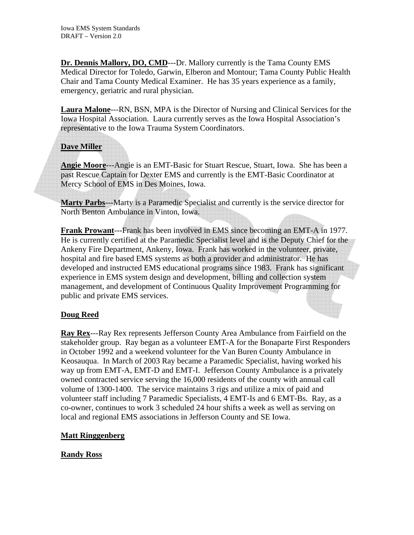**Dr. Dennis Mallory, DO, CMD**---Dr. Mallory currently is the Tama County EMS Medical Director for Toledo, Garwin, Elberon and Montour; Tama County Public Health Chair and Tama County Medical Examiner. He has 35 years experience as a family, emergency, geriatric and rural physician.

**Laura Malone**---RN, BSN, MPA is the Director of Nursing and Clinical Services for the Iowa Hospital Association. Laura currently serves as the Iowa Hospital Association's representative to the Iowa Trauma System Coordinators.

#### **Dave Miller**

**Angie Moore**---Angie is an EMT-Basic for Stuart Rescue, Stuart, Iowa. She has been a past Rescue Captain for Dexter EMS and currently is the EMT-Basic Coordinator at Mercy School of EMS in Des Moines, Iowa.

**Marty Parbs**---Marty is a Paramedic Specialist and currently is the service director for North Benton Ambulance in Vinton, Iowa.

**Frank Prowant**---Frank has been involved in EMS since becoming an EMT-A in 1977. He is currently certified at the Paramedic Specialist level and is the Deputy Chief for the Ankeny Fire Department, Ankeny, Iowa. Frank has worked in the volunteer, private, hospital and fire based EMS systems as both a provider and administrator. He has developed and instructed EMS educational programs since 1983. Frank has significant experience in EMS system design and development, billing and collection system management, and development of Continuous Quality Improvement Programming for public and private EMS services.

#### **Doug Reed**

**Ray Rex**---Ray Rex represents Jefferson County Area Ambulance from Fairfield on the stakeholder group. Ray began as a volunteer EMT-A for the Bonaparte First Responders in October 1992 and a weekend volunteer for the Van Buren County Ambulance in Keosauqua. In March of 2003 Ray became a Paramedic Specialist, having worked his way up from EMT-A, EMT-D and EMT-I. Jefferson County Ambulance is a privately owned contracted service serving the 16,000 residents of the county with annual call volume of 1300-1400. The service maintains 3 rigs and utilize a mix of paid and volunteer staff including 7 Paramedic Specialists, 4 EMT-Is and 6 EMT-Bs. Ray, as a co-owner, continues to work 3 scheduled 24 hour shifts a week as well as serving on local and regional EMS associations in Jefferson County and SE Iowa.

#### **Matt Ringgenberg**

#### **Randy Ross**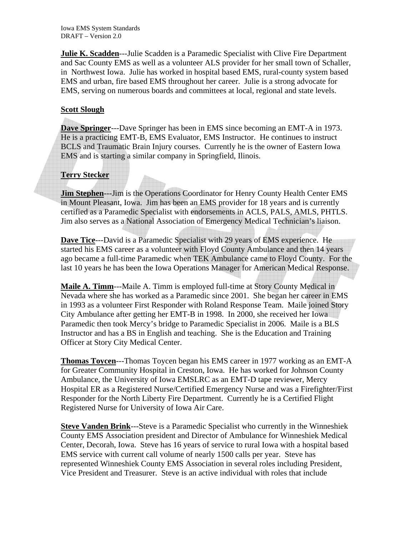**Julie K. Scadden**---Julie Scadden is a Paramedic Specialist with Clive Fire Department and Sac County EMS as well as a volunteer ALS provider for her small town of Schaller, in Northwest Iowa. Julie has worked in hospital based EMS, rural-county system based EMS and urban, fire based EMS throughout her career. Julie is a strong advocate for EMS, serving on numerous boards and committees at local, regional and state levels.

#### **Scott Slough**

**Dave Springer**---Dave Springer has been in EMS since becoming an EMT-A in 1973. He is a practicing EMT-B, EMS Evaluator, EMS Instructor. He continues to instruct BCLS and Traumatic Brain Injury courses. Currently he is the owner of Eastern Iowa EMS and is starting a similar company in Springfield, Ilinois.

#### **Terry Stecker**

**Jim Stephen----Jim is the Operations Coordinator for Henry County Health Center EMS** in Mount Pleasant, Iowa. Jim has been an EMS provider for 18 years and is currently certified as a Paramedic Specialist with endorsements in ACLS, PALS, AMLS, PHTLS. Jim also serves as a National Association of Emergency Medical Technician's liaison.

**Dave Tice**---David is a Paramedic Specialist with 29 years of EMS experience. He started his EMS career as a volunteer with Floyd County Ambulance and then 14 years ago became a full-time Paramedic when TEK Ambulance came to Floyd County. For the last 10 years he has been the Iowa Operations Manager for American Medical Response.

**Maile A. Timm**---Maile A. Timm is employed full-time at Story County Medical in Nevada where she has worked as a Paramedic since 2001. She began her career in EMS in 1993 as a volunteer First Responder with Roland Response Team. Maile joined Story City Ambulance after getting her EMT-B in 1998. In 2000, she received her Iowa Paramedic then took Mercy's bridge to Paramedic Specialist in 2006. Maile is a BLS Instructor and has a BS in English and teaching. She is the Education and Training Officer at Story City Medical Center.

**Thomas Toycen**---Thomas Toycen began his EMS career in 1977 working as an EMT-A for Greater Community Hospital in Creston, Iowa. He has worked for Johnson County Ambulance, the University of Iowa EMSLRC as an EMT-D tape reviewer, Mercy Hospital ER as a Registered Nurse/Certified Emergency Nurse and was a Firefighter/First Responder for the North Liberty Fire Department. Currently he is a Certified Flight Registered Nurse for University of Iowa Air Care.

**Steve Vanden Brink**---Steve is a Paramedic Specialist who currently in the Winneshiek County EMS Association president and Director of Ambulance for Winneshiek Medical Center, Decorah, Iowa. Steve has 16 years of service to rural Iowa with a hospital based EMS service with current call volume of nearly 1500 calls per year. Steve has represented Winneshiek County EMS Association in several roles including President, Vice President and Treasurer. Steve is an active individual with roles that include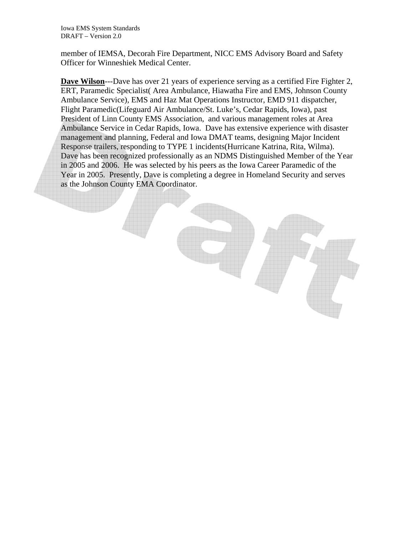member of IEMSA, Decorah Fire Department, NICC EMS Advisory Board and Safety Officer for Winneshiek Medical Center.

**Dave Wilson**---Dave has over 21 years of experience serving as a certified Fire Fighter 2, ERT, Paramedic Specialist( Area Ambulance, Hiawatha Fire and EMS, Johnson County Ambulance Service), EMS and Haz Mat Operations Instructor, EMD 911 dispatcher, Flight Paramedic(Lifeguard Air Ambulance/St. Luke's, Cedar Rapids, Iowa), past President of Linn County EMS Association, and various management roles at Area Ambulance Service in Cedar Rapids, Iowa. Dave has extensive experience with disaster management and planning, Federal and Iowa DMAT teams, designing Major Incident Response trailers, responding to TYPE 1 incidents(Hurricane Katrina, Rita, Wilma). Dave has been recognized professionally as an NDMS Distinguished Member of the Year in 2005 and 2006. He was selected by his peers as the Iowa Career Paramedic of the Year in 2005. Presently, Dave is completing a degree in Homeland Security and serves as the Johnson County EMA Coordinator.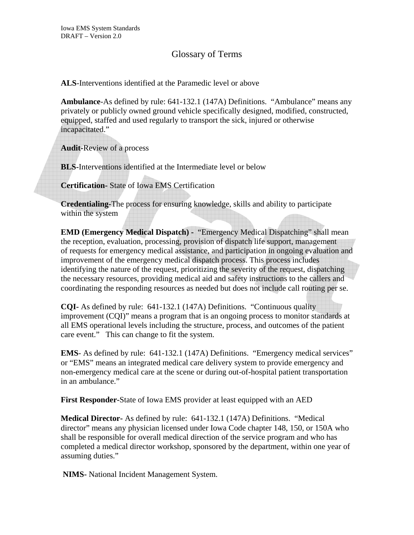#### Glossary of Terms

**ALS**-Interventions identified at the Paramedic level or above

**Ambulance**-As defined by rule: 641-132.1 (147A) Definitions. "Ambulance" means any privately or publicly owned ground vehicle specifically designed, modified, constructed, equipped, staffed and used regularly to transport the sick, injured or otherwise incapacitated."

**Audit-**Review of a process

**BLS-**Interventions identified at the Intermediate level or below

**Certification-** State of Iowa EMS Certification

**Credentialing-**The process for ensuring knowledge, skills and ability to participate within the system

**EMD (Emergency Medical Dispatch) -** "Emergency Medical Dispatching" shall mean the reception, evaluation, processing, provision of dispatch life support, management of requests for emergency medical assistance, and participation in ongoing evaluation and improvement of the emergency medical dispatch process. This process includes identifying the nature of the request, prioritizing the severity of the request, dispatching the necessary resources, providing medical aid and safety instructions to the callers and coordinating the responding resources as needed but does not include call routing per se.

**CQI-** As defined by rule: 641-132.1 (147A) Definitions. "Continuous quality improvement (CQI)" means a program that is an ongoing process to monitor standards at all EMS operational levels including the structure, process, and outcomes of the patient care event." This can change to fit the system.

**EMS**- As defined by rule: 641-132.1 (147A) Definitions. "Emergency medical services" or "EMS" means an integrated medical care delivery system to provide emergency and non-emergency medical care at the scene or during out-of-hospital patient transportation in an ambulance."

**First Responder-**State of Iowa EMS provider at least equipped with an AED

**Medical Director-** As defined by rule: 641-132.1 (147A) Definitions. "Medical director" means any physician licensed under Iowa Code chapter 148, 150, or 150A who shall be responsible for overall medical direction of the service program and who has completed a medical director workshop, sponsored by the department, within one year of assuming duties."

 **NIMS-** National Incident Management System.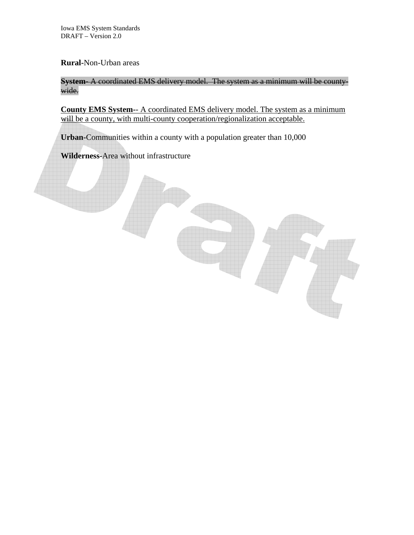#### **Rural-**Non-Urban areas

**System-** A coordinated EMS delivery model. The system as a minimum will be countywide.

**County EMS System-**- A coordinated EMS delivery model. The system as a minimum will be a county, with multi-county cooperation/regionalization acceptable.

**Urban-**Communities within a county with a population greater than 10,000

**Wilderness-**Area without infrastructure

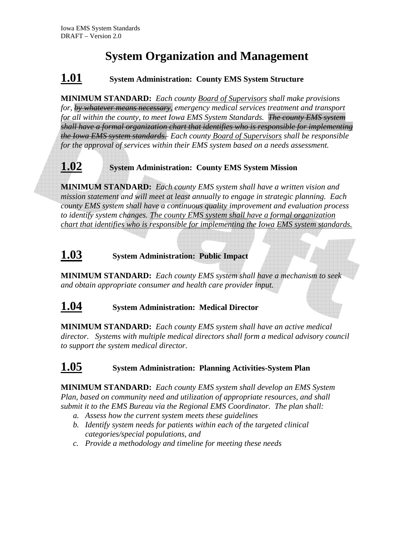# **System Organization and Management**

# **1.01 System Administration: County EMS System Structure**

**MINIMUM STANDARD:** *Each county Board of Supervisors shall make provisions for, by whatever means necessary, emergency medical services treatment and transport for all within the county, to meet Iowa EMS System Standards. The county EMS system shall have a formal organization chart that identifies who is responsible for implementing the Iowa EMS system standards. Each county Board of Supervisors shall be responsible for the approval of services within their EMS system based on a needs assessment.* 

# **1.02 System Administration: County EMS System Mission**

**MINIMUM STANDARD:** *Each county EMS system shall have a written vision and mission statement and will meet at least annually to engage in strategic planning. Each county EMS system shall have a continuous quality improvement and evaluation process to identify system changes. The county EMS system shall have a formal organization chart that identifies who is responsible for implementing the Iowa EMS system standards.*

# **1.03 System Administration: Public Impact**

**MINIMUM STANDARD:** *Each county EMS system shall have a mechanism to seek and obtain appropriate consumer and health care provider input.* 

# **1.04 System Administration: Medical Director**

**MINIMUM STANDARD:** *Each county EMS system shall have an active medical director. Systems with multiple medical directors shall form a medical advisory council to support the system medical director.* 

# **1.05 System Administration: Planning Activities-System Plan**

**MINIMUM STANDARD:** *Each county EMS system shall develop an EMS System Plan, based on community need and utilization of appropriate resources, and shall submit it to the EMS Bureau via the Regional EMS Coordinator. The plan shall:* 

- *a. Assess how the current system meets these guidelines*
- *b. Identify system needs for patients within each of the targeted clinical categories/special populations, and*
- *c. Provide a methodology and timeline for meeting these needs*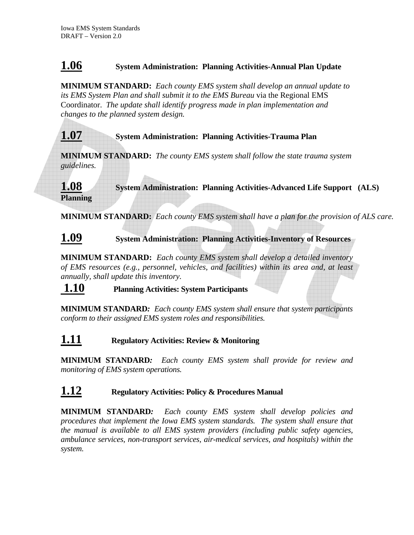# **1.06 System Administration: Planning Activities-Annual Plan Update**

**MINIMUM STANDARD:** *Each county EMS system shall develop an annual update to its EMS System Plan and shall submit it to the EMS Bureau* via the Regional EMS Coordinator. *The update shall identify progress made in plan implementation and changes to the planned system design.* 

# **1.07 System Administration: Planning Activities-Trauma Plan**

**MINIMUM STANDARD:** *The county EMS system shall follow the state trauma system guidelines.* 

**1.08 System Administration: Planning Activities-Advanced Life Support (ALS) Planning** 

**MINIMUM STANDARD:** *Each county EMS system shall have a plan for the provision of ALS care.* 

# **1.09 System Administration: Planning Activities-Inventory of Resources**

**MINIMUM STANDARD:** *Each county EMS system shall develop a detailed inventory of EMS resources (e.g., personnel, vehicles, and facilities) within its area and, at least annually, shall update this inventory.* 

### **1.10 Planning Activities: System Participants**

**MINIMUM STANDARD***: Each county EMS system shall ensure that system participants conform to their assigned EMS system roles and responsibilities.* 

### **1.11 Regulatory Activities: Review & Monitoring**

**MINIMUM STANDARD***: Each county EMS system shall provide for review and monitoring of EMS system operations.* 

# **1.12 Regulatory Activities: Policy & Procedures Manual**

**MINIMUM STANDARD***: Each county EMS system shall develop policies and procedures that implement the Iowa EMS system standards. The system shall ensure that the manual is available to all EMS system providers (including public safety agencies, ambulance services, non-transport services, air-medical services, and hospitals) within the system.*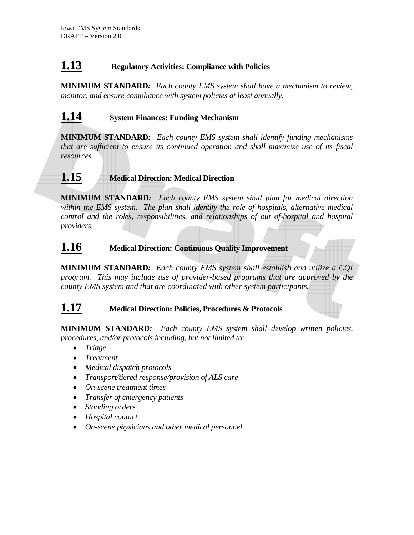# **1.13 Regulatory Activities: Compliance with Policies**

**MINIMUM STANDARD***: Each county EMS system shall have a mechanism to review, monitor, and ensure compliance with system policies at least annually.* 

# **1.14 System Finances: Funding Mechanism**

**MINIMUM STANDARD***: Each county EMS system shall identify funding mechanisms that are sufficient to ensure its continued operation and shall maximize use of its fiscal resources.* 

# **1.15 Medical Direction: Medical Direction**

**MINIMUM STANDARD***: Each county EMS system shall plan for medical direction within the EMS system. The plan shall identify the role of hospitals, alternative medical control and the roles, responsibilities, and relationships of out of-hospital and hospital providers.*

# **1.16 Medical Direction: Continuous Quality Improvement**

**MINIMUM STANDARD***: Each county EMS system shall establish and utilize a CQI program. This may include use of provider-based programs that are approved by the county EMS system and that are coordinated with other system participants.* 

# **1.17 Medical Direction: Policies, Procedures & Protocols**

**MINIMUM STANDARD***: Each county EMS system shall develop written policies, procedures, and/or protocols including, but not limited to:* 

- *Triage*
- *Treatment*
- *Medical dispatch protocols*
- *Transport/tiered response/provision of ALS care*
- *On-scene treatment times*
- *Transfer of emergency patients*
- *Standing orders*
- *Hospital contact*
- *On-scene physicians and other medical personnel*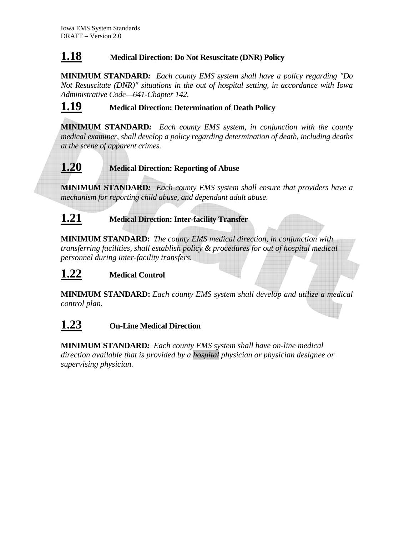# **1.18 Medical Direction: Do Not Resuscitate (DNR) Policy**

**MINIMUM STANDARD***: Each county EMS system shall have a policy regarding "Do Not Resuscitate (DNR)" situations in the out of hospital setting, in accordance with Iowa Administrative Code—641-Chapter 142.* 

# **1.19 Medical Direction: Determination of Death Policy**

**MINIMUM STANDARD***: Each county EMS system, in conjunction with the county medical examiner, shall develop a policy regarding determination of death, including deaths at the scene of apparent crimes.* 

#### **1.20 Medical Direction: Reporting of Abuse**

**MINIMUM STANDARD***: Each county EMS system shall ensure that providers have a mechanism for reporting child abuse, and dependant adult abuse.* 

# **1.21 Medical Direction: Inter-facility Transfer**

**MINIMUM STANDARD:** *The county EMS medical direction, in conjunction with transferring facilities, shall establish policy & procedures for out of hospital medical personnel during inter-facility transfers.*

# **1.22 Medical Control**

**MINIMUM STANDARD:** *Each county EMS system shall develop and utilize a medical control plan.* 

# **1.23 On-Line Medical Direction**

**MINIMUM STANDARD***: Each county EMS system shall have on-line medical direction available that is provided by a hospital physician or physician designee or supervising physician.*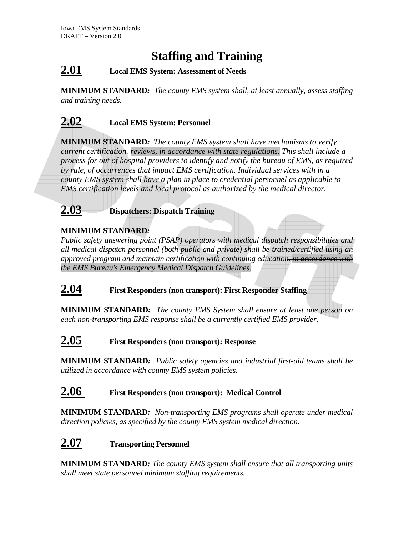# **Staffing and Training**

# **2.01 Local EMS System: Assessment of Needs**

**MINIMUM STANDARD***: The county EMS system shall, at least annually, assess staffing and training needs.* 

# **2.02 Local EMS System: Personnel**

**MINIMUM STANDARD***: The county EMS system shall have mechanisms to verify current certification. reviews, in accordance with state regulations. This shall include a process for out of hospital providers to identify and notify the bureau of EMS, as required by rule, of occurrences that impact EMS certification. Individual services with in a county EMS system shall have a plan in place to credential personnel as applicable to EMS certification levels and local protocol as authorized by the medical director.* 



**2.03 Dispatchers: Dispatch Training**

### **MINIMUM STANDARD***:*

*Public safety answering point (PSAP) operators with medical dispatch responsibilities and all medical dispatch personnel (both public and private) shall be trained/certified using an approved program and maintain certification with continuing education. in accordance with the EMS Bureau's Emergency Medical Dispatch Guidelines.*

# **2.04 First Responders (non transport): First Responder Staffing**

**MINIMUM STANDARD***: The county EMS System shall ensure at least one person on each non-transporting EMS response shall be a currently certified EMS provider.* 

# **2.05 First Responders (non transport): Response**

**MINIMUM STANDARD***: Public safety agencies and industrial first-aid teams shall be utilized in accordance with county EMS system policies.* 

# **2.06 First Responders (non transport): Medical Control**

**MINIMUM STANDARD***: Non-transporting EMS programs shall operate under medical direction policies, as specified by the county EMS system medical direction.*

# **2.07 Transporting Personnel**

**MINIMUM STANDARD***: The county EMS system shall ensure that all transporting units shall meet state personnel minimum staffing requirements.*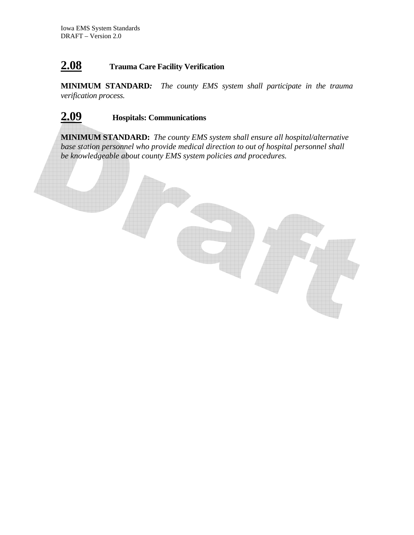# **2.08 Trauma Care Facility Verification**

**MINIMUM STANDARD***: The county EMS system shall participate in the trauma verification process.* 

# **2.09 Hospitals: Communications**

**MINIMUM STANDARD:** *The county EMS system shall ensure all hospital/alternative base station personnel who provide medical direction to out of hospital personnel shall be knowledgeable about county EMS system policies and procedures.* 

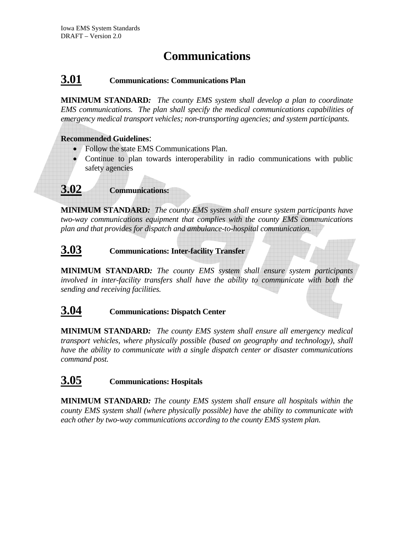# **Communications**

# **3.01 Communications: Communications Plan**

**MINIMUM STANDARD***: The county EMS system shall develop a plan to coordinate EMS communications. The plan shall specify the medical communications capabilities of emergency medical transport vehicles; non-transporting agencies; and system participants.* 

#### **Recommended Guidelines**:

- Follow the state EMS Communications Plan.
- Continue to plan towards interoperability in radio communications with public safety agencies
- **3.02 Communications:**

**MINIMUM STANDARD***: The county EMS system shall ensure system participants have two-way communications equipment that complies with the county EMS communications plan and that provides for dispatch and ambulance-to-hospital communication.* 

# **3.03 Communications: Inter-facility Transfer**

**MINIMUM STANDARD***: The county EMS system shall ensure system participants involved in inter-facility transfers shall have the ability to communicate with both the sending and receiving facilities.* 

# **3.04 Communications: Dispatch Center**

**MINIMUM STANDARD***: The county EMS system shall ensure all emergency medical transport vehicles, where physically possible (based on geography and technology), shall have the ability to communicate with a single dispatch center or disaster communications command post.* 

# **3.05 Communications: Hospitals**

**MINIMUM STANDARD***: The county EMS system shall ensure all hospitals within the county EMS system shall (where physically possible) have the ability to communicate with each other by two-way communications according to the county EMS system plan.*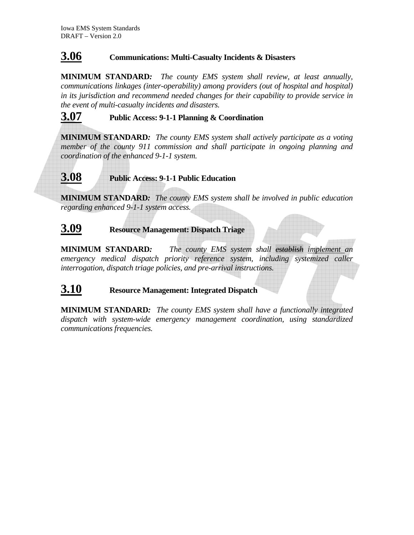# **3.06 Communications: Multi-Casualty Incidents & Disasters**

**MINIMUM STANDARD***: The county EMS system shall review, at least annually, communications linkages (inter-operability) among providers (out of hospital and hospital) in its jurisdiction and recommend needed changes for their capability to provide service in the event of multi-casualty incidents and disasters.* 

# **3.07 Public Access: 9-1-1 Planning & Coordination**

**MINIMUM STANDARD***: The county EMS system shall actively participate as a voting member of the county 911 commission and shall participate in ongoing planning and coordination of the enhanced 9-1-1 system.* 

# **3.08 Public Access: 9-1-1 Public Education**

**MINIMUM STANDARD***: The county EMS system shall be involved in public education regarding enhanced 9-1-1 system access.*

# **3.09 Resource Management: Dispatch Triage**

**MINIMUM STANDARD***: The county EMS system shall establish implement an emergency medical dispatch priority reference system, including systemized caller interrogation, dispatch triage policies, and pre-arrival instructions.* 

### **3.10 Resource Management: Integrated Dispatch**

**MINIMUM STANDARD***: The county EMS system shall have a functionally integrated dispatch with system-wide emergency management coordination, using standardized communications frequencies.*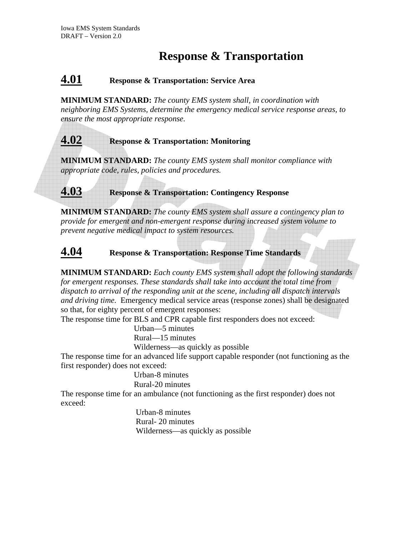# **Response & Transportation**

# **4.01 Response & Transportation: Service Area**

**MINIMUM STANDARD:** *The county EMS system shall, in coordination with neighboring EMS Systems, determine the emergency medical service response areas, to ensure the most appropriate response.* 

# **4.02 Response & Transportation: Monitoring**

**MINIMUM STANDARD:** *The county EMS system shall monitor compliance with appropriate code, rules, policies and procedures.* 

### **4.03 Response & Transportation: Contingency Response**

**MINIMUM STANDARD:** *The county EMS system shall assure a contingency plan to provide for emergent and non-emergent response during increased system volume to prevent negative medical impact to system resources.* 

### **4.04 Response & Transportation: Response Time Standards**

**MINIMUM STANDARD:** *Each county EMS system shall adopt the following standards for emergent responses. These standards shall take into account the total time from dispatch to arrival of the responding unit at the scene, including all dispatch intervals and driving time.* Emergency medical service areas (response zones) shall be designated so that, for eighty percent of emergent responses:

The response time for BLS and CPR capable first responders does not exceed:

Urban—5 minutes

Rural—15 minutes

Wilderness—as quickly as possible

The response time for an advanced life support capable responder (not functioning as the first responder) does not exceed:

 Urban-8 minutes Rural-20 minutes

The response time for an ambulance (not functioning as the first responder) does not exceed:

> Urban-8 minutes Rural- 20 minutes Wilderness—as quickly as possible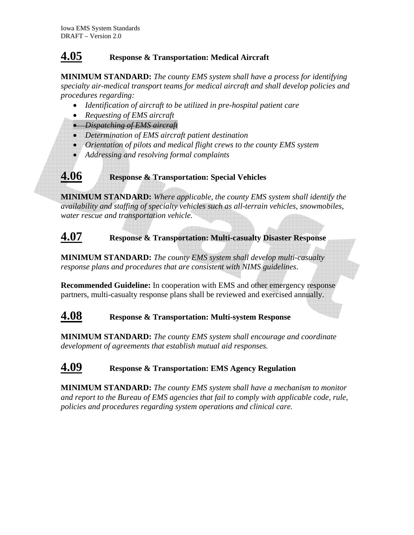# **4.05 Response & Transportation: Medical Aircraft**

**MINIMUM STANDARD:** *The county EMS system shall have a process for identifying specialty air-medical transport teams for medical aircraft and shall develop policies and procedures regarding:* 

- *Identification of aircraft to be utilized in pre-hospital patient care*
- *Requesting of EMS aircraft*
- *Dispatching of EMS aircraft*
- *Determination of EMS aircraft patient destination*
- *Orientation of pilots and medical flight crews to the county EMS system*
- *Addressing and resolving formal complaints*

**4.06 Response & Transportation: Special Vehicles** 

**MINIMUM STANDARD:** *Where applicable, the county EMS system shall identify the availability and staffing of specialty vehicles such as all-terrain vehicles, snowmobiles, water rescue and transportation vehicle.* 

# **4.07 Response & Transportation: Multi-casualty Disaster Response**

**MINIMUM STANDARD:** *The county EMS system shall develop multi-casualty response plans and procedures that are consistent with NIMS guidelines*.

**Recommended Guideline:** In cooperation with EMS and other emergency response partners, multi-casualty response plans shall be reviewed and exercised annually.

# **4.08 Response & Transportation: Multi-system Response**

**MINIMUM STANDARD:** *The county EMS system shall encourage and coordinate development of agreements that establish mutual aid responses.* 

# **4.09 Response & Transportation: EMS Agency Regulation**

**MINIMUM STANDARD:** *The county EMS system shall have a mechanism to monitor and report to the Bureau of EMS agencies that fail to comply with applicable code, rule, policies and procedures regarding system operations and clinical care.*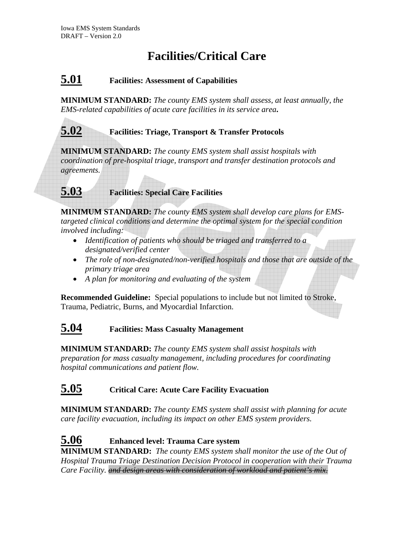# **Facilities/Critical Care**

# **5.01 Facilities: Assessment of Capabilities**

**MINIMUM STANDARD:** *The county EMS system shall assess, at least annually, the EMS-related capabilities of acute care facilities in its service area***.** 

# **5.02 Facilities: Triage, Transport & Transfer Protocols**

**MINIMUM STANDARD:** *The county EMS system shall assist hospitals with coordination of pre-hospital triage, transport and transfer destination protocols and agreements.* 

# **5.03 Facilities: Special Care Facilities**

**MINIMUM STANDARD:** *The county EMS system shall develop care plans for EMStargeted clinical conditions and determine the optimal system for the special condition involved including:* 

- *Identification of patients who should be triaged and transferred to a designated/verified center*
- *The role of non-designated/non-verified hospitals and those that are outside of the primary triage area*
- *A plan for monitoring and evaluating of the system*

**Recommended Guideline:** Special populations to include but not limited to Stroke, Trauma, Pediatric, Burns, and Myocardial Infarction.

# **5.04 Facilities: Mass Casualty Management**

**MINIMUM STANDARD:** *The county EMS system shall assist hospitals with preparation for mass casualty management, including procedures for coordinating hospital communications and patient flow.* 

# **5.05 Critical Care: Acute Care Facility Evacuation**

**MINIMUM STANDARD:** *The county EMS system shall assist with planning for acute care facility evacuation, including its impact on other EMS system providers.* 

**5.06 Enhanced level: Trauma Care system MINIMUM STANDARD:** *The county EMS system shall monitor the use of the Out of Hospital Trauma Triage Destination Decision Protocol in cooperation with their Trauma Care Facility. and design areas with consideration of workload and patient's mix.*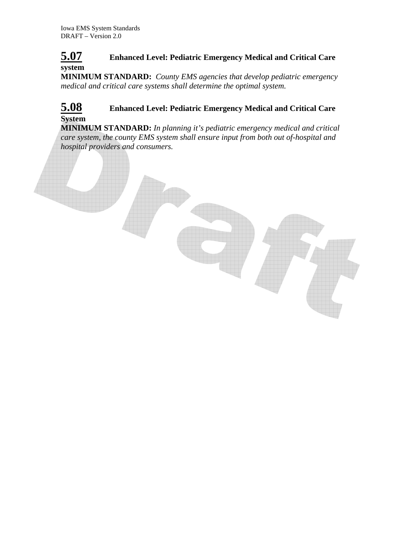# **5.07 Enhanced Level: Pediatric Emergency Medical and Critical Care system**

**MINIMUM STANDARD:** *County EMS agencies that develop pediatric emergency medical and critical care systems shall determine the optimal system.* 

### **5.08 Enhanced Level: Pediatric Emergency Medical and Critical Care System**

**MINIMUM STANDARD:** *In planning it's pediatric emergency medical and critical care system, the county EMS system shall ensure input from both out of-hospital and hospital providers and consumers.*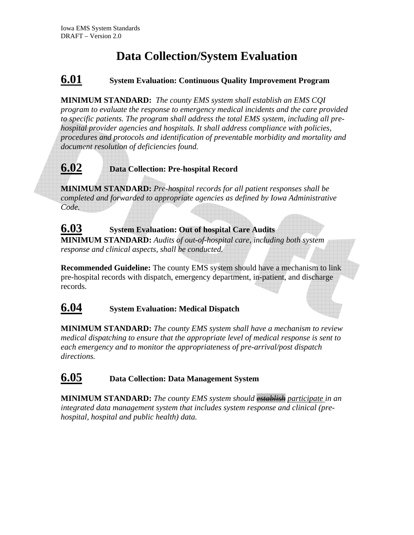# **Data Collection/System Evaluation**

# **6.01 System Evaluation: Continuous Quality Improvement Program**

**MINIMUM STANDARD:** *The county EMS system shall establish an EMS CQI program to evaluate the response to emergency medical incidents and the care provided to specific patients. The program shall address the total EMS system, including all prehospital provider agencies and hospitals. It shall address compliance with policies, procedures and protocols and identification of preventable morbidity and mortality and document resolution of deficiencies found.* 

# **6.02 Data Collection: Pre-hospital Record**

**MINIMUM STANDARD:** *Pre-hospital records for all patient responses shall be completed and forwarded to appropriate agencies as defined by Iowa Administrative Code.* 

# **6.03 System Evaluation: Out of hospital Care Audits**

**MINIMUM STANDARD:** *Audits of out-of-hospital care, including both system response and clinical aspects, shall be conducted.* 

**Recommended Guideline:** The county EMS system should have a mechanism to link pre-hospital records with dispatch, emergency department, in-patient, and discharge records.

# **6.04 System Evaluation: Medical Dispatch**

**MINIMUM STANDARD:** *The county EMS system shall have a mechanism to review medical dispatching to ensure that the appropriate level of medical response is sent to each emergency and to monitor the appropriateness of pre-arrival/post dispatch directions.* 

# **6.05 Data Collection: Data Management System**

**MINIMUM STANDARD:** *The county EMS system should establish participate in an integrated data management system that includes system response and clinical (prehospital, hospital and public health) data.*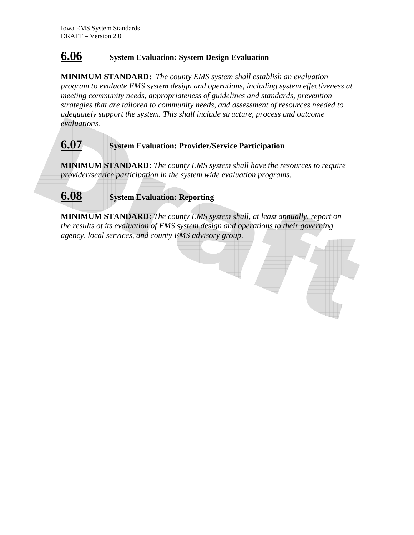# **6.06 System Evaluation: System Design Evaluation**

**MINIMUM STANDARD:** *The county EMS system shall establish an evaluation program to evaluate EMS system design and operations, including system effectiveness at meeting community needs, appropriateness of guidelines and standards, prevention strategies that are tailored to community needs, and assessment of resources needed to adequately support the system. This shall include structure, process and outcome evaluations.* 



*the results of its evaluation of EMS system design and operations to their governing agency, local services, and county EMS advisory group.*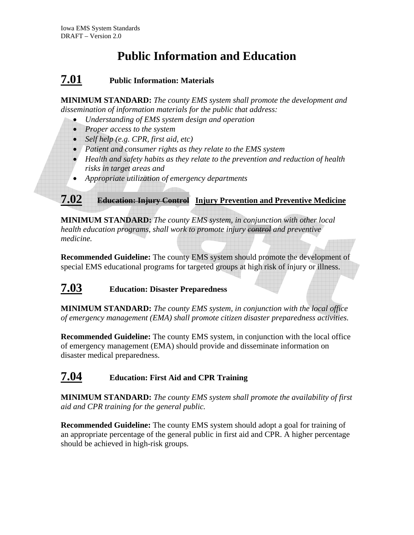# **Public Information and Education**

# **7.01 Public Information: Materials**

**MINIMUM STANDARD:** *The county EMS system shall promote the development and dissemination of information materials for the public that address:* 

- *Understanding of EMS system design and operation*
- *Proper access to the system*
- *Self help (e.g. CPR, first aid, etc)*
- *Patient and consumer rights as they relate to the EMS system*
- *Health and safety habits as they relate to the prevention and reduction of health risks in target areas and*
- *Appropriate utilization of emergency departments*

**7.02 Education: Injury Control Injury Prevention and Preventive Medicine**

**MINIMUM STANDARD:** *The county EMS system, in conjunction with other local health education programs, shall work to promote injury control and preventive medicine.* 

**Recommended Guideline:** The county EMS system should promote the development of special EMS educational programs for targeted groups at high risk of injury or illness.

# **7.03 Education: Disaster Preparedness**

**MINIMUM STANDARD:** *The county EMS system, in conjunction with the local office of emergency management (EMA) shall promote citizen disaster preparedness activities.* 

**Recommended Guideline:** The county EMS system, in conjunction with the local office of emergency management (EMA) should provide and disseminate information on disaster medical preparedness.

# **7.04 Education: First Aid and CPR Training**

**MINIMUM STANDARD:** *The county EMS system shall promote the availability of first aid and CPR training for the general public.* 

**Recommended Guideline:** The county EMS system should adopt a goal for training of an appropriate percentage of the general public in first aid and CPR. A higher percentage should be achieved in high-risk groups*.*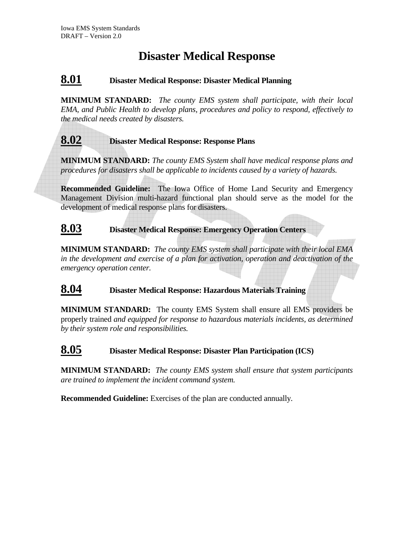# **Disaster Medical Response**

# **8.01 Disaster Medical Response: Disaster Medical Planning**

**MINIMUM STANDARD:** *The county EMS system shall participate, with their local EMA, and Public Health to develop plans, procedures and policy to respond, effectively to the medical needs created by disasters.* 

### **8.02 Disaster Medical Response: Response Plans**

**MINIMUM STANDARD:** *The county EMS System shall have medical response plans and procedures for disasters shall be applicable to incidents caused by a variety of hazards.* 

**Recommended Guideline:**The Iowa Office of Home Land Security and Emergency Management Division multi-hazard functional plan should serve as the model for the development of medical response plans for disasters.

### **8.03 Disaster Medical Response: Emergency Operation Centers**

**MINIMUM STANDARD:** *The county EMS system shall participate with their local EMA in the development and exercise of a plan for activation, operation and deactivation of the emergency operation center.*

**8.04 Disaster Medical Response: Hazardous Materials Training**

**MINIMUM STANDARD:**The county EMS System shall ensure all EMS providers be properly trained *and equipped for response to hazardous materials incidents, as determined by their system role and responsibilities.*

# **8.05 Disaster Medical Response: Disaster Plan Participation (ICS)**

**MINIMUM STANDARD:** *The county EMS system shall ensure that system participants are trained to implement the incident command system.* 

**Recommended Guideline:** Exercises of the plan are conducted annually*.*